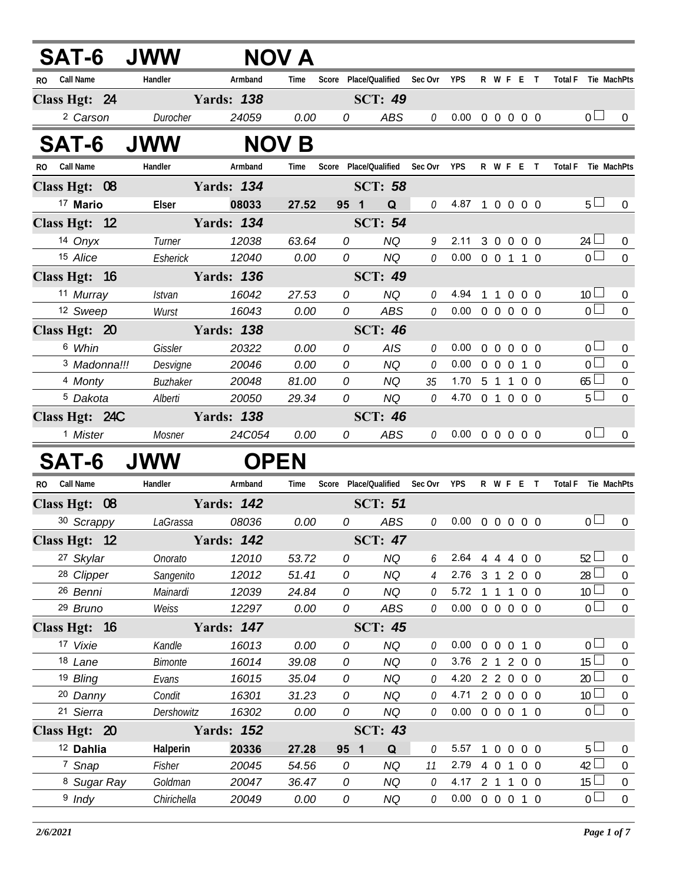| <b>SAT-6 JWW</b>        |                        |                    | <b>NOV A</b>  |        |                               |              |                            |              |                     |                        |            |                                   |                                      |
|-------------------------|------------------------|--------------------|---------------|--------|-------------------------------|--------------|----------------------------|--------------|---------------------|------------------------|------------|-----------------------------------|--------------------------------------|
| <b>Call Name</b><br>RO. | Handler                | Armband            | Time          |        | Score Place/Qualified Sec Ovr |              | <b>YPS</b>                 |              |                     | R W F E T              |            | <b>Total F</b>                    | Tie MachPts                          |
| Class Hgt: 24           |                        | <b>Yards: 138</b>  |               |        | <b>SCT: 49</b>                |              |                            |              |                     |                        |            |                                   |                                      |
| <sup>2</sup> Carson     | Durocher               | 24059              | 0.00          | 0      | <b>ABS</b>                    | 0            | $0.00 \t0 \t0 \t0 \t0 \t0$ |              |                     |                        |            | 0 <sub>0</sub>                    | $\overline{0}$                       |
| <b>SAT-6</b>            | <b>JWW</b>             |                    | <b>NOV B</b>  |        |                               |              |                            |              |                     |                        |            |                                   |                                      |
| <b>Call Name</b><br>RO. | Handler                | Armband            | Time          |        | Score Place/Qualified Sec Ovr |              | YPS                        |              |                     | R W F E T              |            | <b>Total F</b>                    | Tie MachPts                          |
| Class Hgt: 08           |                        | <b>Yards: 134</b>  |               |        | <b>SCT: 58</b>                |              |                            |              |                     |                        |            |                                   |                                      |
| <sup>17</sup> Mario     | Elser                  | 08033              | 27.52         | 95 1   | Q                             | 0            | 4.87 1 0 0 0 0             |              |                     |                        |            | 5 <sub>1</sub>                    | $\overline{0}$                       |
| Class Hgt: 12           |                        | <b>Yards: 134</b>  |               |        | <b>SCT: 54</b>                |              |                            |              |                     |                        |            |                                   |                                      |
| 14 Onyx                 | Turner                 | 12038              | 63.64         | 0      | <b>NQ</b>                     | 9            | 2.11                       |              |                     | 3 0 0 0 0              |            | $24 \Box$                         | $\mathbf 0$                          |
| 15 Alice                | Esherick               | 12040              | 0.00          | 0      | NQ                            | 0            | $0.00 \t0 \t0 \t1 \t1 \t0$ |              |                     |                        |            | $\overline{0}$                    | $\Omega$                             |
| Class Hgt: 16           |                        | <b>Yards: 136</b>  |               |        | <b>SCT: 49</b>                |              |                            |              |                     |                        |            |                                   |                                      |
| 11 Murray               | <b>Istvan</b>          | 16042              | 27.53         | 0      | <b>NQ</b>                     | 0            | 4.94                       |              |                     | 1 1 0 0 0              |            | 10 <sup>1</sup>                   | $\overline{0}$                       |
| 12 Sweep                | Wurst                  | 16043              | 0.00          | 0      | ABS                           | 0            | $0.00 \t0 \t0 \t0 \t0 \t0$ |              |                     |                        |            | $\overline{0}$                    | $\overline{0}$                       |
| Class Hgt: 20           |                        | <b>Yards: 138</b>  |               |        | <b>SCT: 46</b>                |              |                            |              |                     |                        |            |                                   |                                      |
| 6 Whin                  | Gissler                | 20322              | 0.00          | 0      | <b>AIS</b>                    | 0            | 0.00                       |              |                     | 00000                  |            | $\overline{0}$                    | $\overline{0}$                       |
| <sup>3</sup> Madonna!!! | Desvigne               | 20046              | 0.00          | 0      | <b>NQ</b>                     | 0            | 0.00                       |              |                     | 0 0 0 1 0              |            | $\overline{0}$ $\Box$             | $\mathbf 0$                          |
| 4 Monty                 | Buzhaker               | 20048              | 81.00         | 0      | <b>NQ</b>                     | 35           | 1.70 5 1 1 0 0             |              |                     |                        |            | 65                                | $\boldsymbol{0}$                     |
| <sup>5</sup> Dakota     | Alberti                | 20050              | 29.34         | 0      | NQ                            | 0            | 4.70 0 1 0 0 0             |              |                     |                        |            | 5 <sub>1</sub>                    | $\overline{0}$                       |
| Class Hgt: 24C          |                        | <b>Yards: 138</b>  |               |        | <b>SCT: 46</b>                |              |                            |              |                     |                        |            |                                   |                                      |
| <sup>1</sup> Mister     | Mosner                 | 24C054             | 0.00          | 0      | ABS                           | $\mathcal O$ | $0.00 \t0 \t0 \t0 \t0 \t0$ |              |                     |                        |            | 0 <sub>0</sub>                    | $\overline{0}$                       |
| <b>SAT-6</b>            | <b>JWW</b>             |                    | <b>OPEN</b>   |        |                               |              |                            |              |                     |                        |            |                                   |                                      |
| <b>Call Name</b><br>RO. | Handler                | Armband            | Time          |        | Score Place/Qualified Sec Ovr |              | <b>YPS</b>                 |              |                     |                        | R W F E T  | Total F Tie MachPts               |                                      |
| Class Hgt: 08           |                        | <b>Yards: 142</b>  |               |        | <b>SCT: 51</b>                |              |                            |              |                     |                        |            |                                   |                                      |
| 30 Scrappy              | LaGrassa               | 08036              | 0.00          | 0      | ABS                           | 0            | 0.00                       |              |                     | 00000                  |            | 0 <sub>0</sub>                    | $\overline{0}$                       |
| Class Hgt: 12           |                        | <b>Example 142</b> |               |        | <b>SCT: 47</b>                |              |                            |              |                     |                        |            |                                   |                                      |
| 27 Skylar               | Onorato                | 12010              | 53.72         | 0      | <b>NQ</b>                     | 6            | 2.64                       |              | $4\quad4$           | $\overline{4}$         | $0\quad 0$ | 52                                | $\overline{0}$                       |
| <sup>28</sup> Clipper   | Sangenito              | 12012              | 51.41         | 0      | <b>NQ</b>                     | 4            | 2.76                       |              |                     | 3 1 2 0 0              |            | $28$ $-$                          | $\boldsymbol{0}$                     |
| 26 Benni                | Mainardi               | 12039              | 24.84         | 0      | <b>NQ</b>                     | 0            | 5.72                       |              | $1\quad1$           | $\mathbf{1}$           | $0\quad 0$ | 10 <sup>L</sup>                   | $\boldsymbol{0}$                     |
| 29 Bruno                | Weiss                  | 12297              | 0.00          | 0      | ABS                           | 0            | $0.00 \t 0 \t 0$           |              |                     | $0\quad 0\quad 0$      |            | $\overline{0}$                    | $\mathbf 0$                          |
| Class Hgt: 16           |                        | <b>Yards: 147</b>  |               |        | <b>SCT: 45</b>                |              |                            |              |                     |                        |            |                                   |                                      |
| 17 Vixie                | Kandle                 | 16013              | 0.00          | 0      | <b>NQ</b>                     | 0            | 0.00                       |              | $0\quad 0$          | $0 \t1 \t0$            |            | 0 <sup>1</sup>                    | 0                                    |
| 18 Lane                 | <b>Bimonte</b>         | 16014              | 39.08         | 0      | <b>NQ</b>                     | 0            | 3.76                       |              |                     | 2 1 2 0 0              |            | 15 <sup>1</sup>                   | $\boldsymbol{0}$                     |
| 19 Bling                | Evans                  | 16015              | 35.04         | 0      | <b>NQ</b>                     | 0            | 4.20                       |              | $2 \quad 2 \quad 0$ |                        | $0\quad 0$ | $20$ $\Box$                       | $\boldsymbol{0}$                     |
| 20 Danny                | Condit                 | 16301              | 31.23         | 0      | <b>NQ</b>                     | 0            | 4.71                       |              |                     | 2 0 0 0 0              |            | 10 <sup>1</sup><br>$\overline{0}$ | $\mathbf 0$                          |
| 21 Sierra               | Dershowitz             | 16302              | 0.00          | 0      | <b>NQ</b>                     | 0            | 0.00                       |              |                     | 0 0 0 1 0              |            |                                   | $\overline{0}$                       |
| Class Hgt: 20           |                        | <b>Yards: 152</b>  |               |        | <b>SCT: 43</b>                |              |                            |              |                     |                        |            |                                   |                                      |
| <sup>12</sup> Dahlia    | Halperin               | 20336              | 27.28         | 95 1   | Q                             | 0            | 5.57                       | $\mathbf{1}$ | $\overline{0}$      | $\overline{0}$         | $0\quad 0$ | 5 <sub>1</sub>                    | 0                                    |
| 7 Snap                  | Fisher                 | 20045              | 54.56         | 0<br>0 | <b>NQ</b>                     | 11           | 2.79<br>4.17               |              | 4 0                 | $\overline{1}$         | $0\quad 0$ | $42 \Box$<br>$15\Box$             | $\boldsymbol{0}$                     |
| 8 Sugar Ray<br>$9$ Indy | Goldman<br>Chirichella | 20047<br>20049     | 36.47<br>0.00 | 0      | <b>NQ</b><br><b>NQ</b>        | 0<br>0       | 0.00                       |              |                     | 2 1 1 0 0<br>0 0 0 1 0 |            | $\overline{0}$                    | $\boldsymbol{0}$<br>$\boldsymbol{0}$ |
|                         |                        |                    |               |        |                               |              |                            |              |                     |                        |            |                                   |                                      |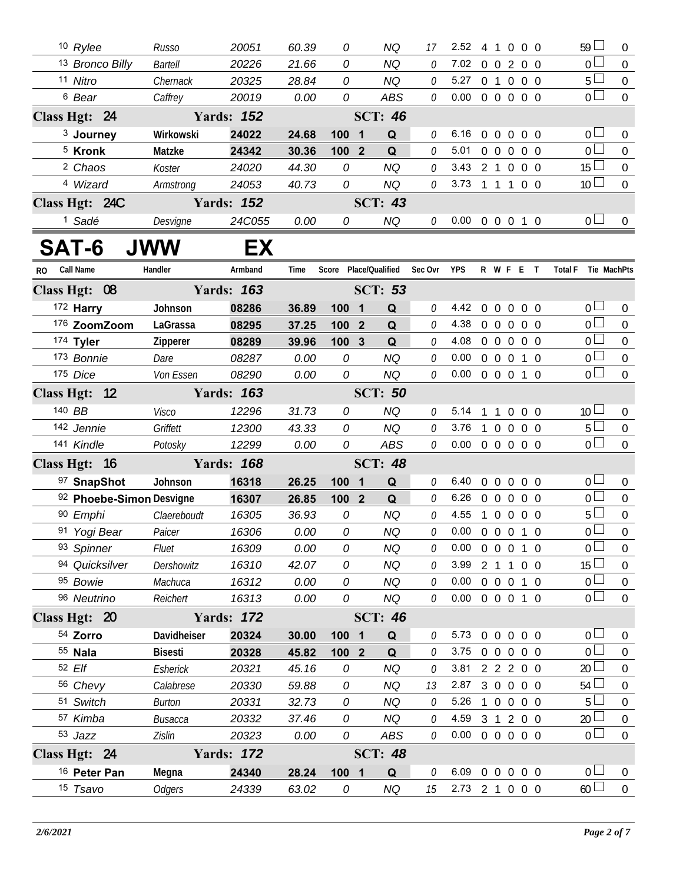|           | 10 Rylee                 | Russo          | 20051             | 60.39 | 0                     |                         | <b>NQ</b>      | 17      | 2.52                       | 4              | $\overline{1}$    | $\mathbf 0$       | $0\quad 0$     | $59 \Box$       | $\overline{0}$   |
|-----------|--------------------------|----------------|-------------------|-------|-----------------------|-------------------------|----------------|---------|----------------------------|----------------|-------------------|-------------------|----------------|-----------------|------------------|
|           | 13 Bronco Billy          | <b>Bartell</b> | 20226             | 21.66 | 0                     |                         | <b>NQ</b>      | 0       | 7.02                       |                |                   | 0 0 2 0 0         |                | $\overline{0}$  | $\overline{0}$   |
|           | 11 Nitro                 | Chernack       | 20325             | 28.84 | 0                     |                         | <b>NQ</b>      | 0       | 5.27                       |                |                   | 0 1 0 0 0         |                | $5\Box$         | $\mathbf 0$      |
|           | <sup>6</sup> Bear        | Caffrey        | 20019             | 0.00  | 0                     |                         | <b>ABS</b>     | 0       | 0.00                       |                |                   | 0 0 0 0 0         |                | $\overline{0}$  | $\mathbf 0$      |
|           | Class Hgt: 24            |                | <b>Yards: 152</b> |       |                       |                         | <b>SCT: 46</b> |         |                            |                |                   |                   |                |                 |                  |
|           | <sup>3</sup> Journey     | Wirkowski      | 24022             | 24.68 | 100                   | $\mathbf 1$             | Q              | 0       | 6.16                       |                | $0\quad 0$        | $0\quad 0\quad 0$ |                | 0 <sub>0</sub>  | $\mathbf{0}$     |
|           | <sup>5</sup> Kronk       | Matzke         | 24342             | 30.36 | 100                   | $\overline{2}$          | Q              | 0       | 5.01                       |                | $0\quad 0$        | $\overline{0}$    | 0 <sub>0</sub> | 0 <sub>0</sub>  | $\boldsymbol{0}$ |
|           | <sup>2</sup> Chaos       | Koster         | 24020             | 44.30 | 0                     |                         | <b>NQ</b>      | 0       | 3.43                       |                | $2 1 0$           |                   | $0\quad 0$     | $15\square$     | $\mathbf 0$      |
|           | 4 Wizard                 | Armstrong      | 24053             | 40.73 | 0                     |                         | <b>NQ</b>      | 0       | 3.73                       | 1 1 1          |                   |                   | $0\quad 0$     | 10 <sup>1</sup> | $\mathbf 0$      |
|           | Class Hgt: 24C           |                | <b>Yards: 152</b> |       |                       |                         | <b>SCT: 43</b> |         |                            |                |                   |                   |                |                 |                  |
|           | <sup>1</sup> Sadé        | Desvigne       | 24C055            | 0.00  | 0                     |                         | <b>NQ</b>      | 0       | $0.00 \t0 \t0 \t0 \t1 \t0$ |                |                   |                   |                | 0 <sub>0</sub>  | $\overline{0}$   |
|           | SAT-6                    | <b>JWW</b>     | EX                |       |                       |                         |                |         |                            |                |                   |                   |                |                 |                  |
| <b>RO</b> | <b>Call Name</b>         | Handler        | Armband           | Time  | Score Place/Qualified |                         |                | Sec Ovr | <b>YPS</b>                 |                |                   | R W F E T         |                | <b>Total F</b>  | Tie MachPts      |
|           | Class Hgt: 08            |                | <b>Yards: 163</b> |       |                       |                         | <b>SCT: 53</b> |         |                            |                |                   |                   |                |                 |                  |
|           | 172 Harry                | Johnson        | 08286             | 36.89 | 100                   | $\overline{\mathbf{1}}$ | Q              | 0       | 4.42                       | $\overline{0}$ | $\overline{0}$    | $\overline{0}$    | $0\quad 0$     | 0 <sub>0</sub>  | $\mathbf{0}$     |
|           | 176 ZoomZoom             | LaGrassa       | 08295             | 37.25 | 100                   | $\overline{2}$          | Q              | 0       | 4.38                       |                | $0\quad 0\quad 0$ |                   | $0\quad 0$     | 0 <sup>2</sup>  | $\overline{0}$   |
|           | 174 Tyler                | Zipperer       | 08289             | 39.96 | 100 3                 |                         | Q              | 0       | 4.08                       |                |                   | 00000             |                | $\overline{0}$  | $\mathbf{0}$     |
|           | 173 Bonnie               | Dare           | 08287             | 0.00  | 0                     |                         | <b>NQ</b>      | 0       | 0.00                       |                |                   | 0 0 0 1 0         |                | 0 <sub>0</sub>  | $\overline{0}$   |
|           | 175 Dice                 | Von Essen      | 08290             | 0.00  | 0                     |                         | <b>NQ</b>      | 0       | 0.00                       |                |                   | 0 0 0 1 0         |                | $\overline{0}$  | $\overline{0}$   |
|           | Class Hgt: 12            |                | <b>Yards: 163</b> |       |                       |                         | <b>SCT: 50</b> |         |                            |                |                   |                   |                |                 |                  |
|           | 140 BB                   | <b>Visco</b>   | 12296             | 31.73 | 0                     |                         | <b>NQ</b>      | 0       | 5.14 1 1 0 0 0             |                |                   |                   |                | 10 <sup>1</sup> | $\mathbf{0}$     |
|           | 142 Jennie               | Griffett       | 12300             | 43.33 | 0                     |                         | <b>NQ</b>      | 0       | 3.76                       |                |                   | 1 0 0 0 0         |                | $5\Box$         | $\mathbf 0$      |
|           | 141 Kindle               | Potosky        | 12299             | 0.00  | 0                     |                         | <b>ABS</b>     | 0       | 0.00                       |                |                   | 0 0 0 0 0         |                | 0 <sub>0</sub>  | $\mathbf{0}$     |
|           | Class Hgt: 16            |                | <b>Yards: 168</b> |       |                       |                         | <b>SCT: 48</b> |         |                            |                |                   |                   |                |                 |                  |
|           | 97 SnapShot              | Johnson        | 16318             | 26.25 | 100                   | $\mathbf 1$             | Q              | 0       | 6.40                       | $\overline{0}$ | $\overline{0}$    | $0\quad 0\quad 0$ |                | 0 <sub>0</sub>  | $\overline{0}$   |
|           | 92 Phoebe-Simon Desvigne |                | 16307             | 26.85 | 100 2                 |                         | Q              | 0       | 6.26                       |                | $0\quad 0\quad 0$ |                   | $0\quad 0$     | 0 <sub>0</sub>  | $\overline{0}$   |
|           | 90 Emphi                 | Claereboudt    | 16305             | 36.93 | 0                     |                         | <b>NQ</b>      | 0       | 4.55                       |                |                   | 10000             |                | $5+$            | $\mathbf 0$      |
|           | 91 Yogi Bear             | Paicer         | 16306             | 0.00  | 0                     |                         | <b>NQ</b>      | 0       | 0.00                       |                |                   | 0 0 0 1 0         |                | 0 L             | $\mathbf 0$      |
|           | 93 Spinner               | Fluet          | 16309             | 0.00  | 0                     |                         | <b>NQ</b>      | 0       | 0.00                       |                |                   | 0 0 0 1 0         |                | 0 <sub>0</sub>  | 0                |
|           | 94 Quicksilver           | Dershowitz     | 16310             | 42.07 | 0                     |                         | <b>NQ</b>      | 0       | 3.99                       |                |                   | 2 1 1 0 0         |                | 15 <sup>L</sup> | $\overline{0}$   |
|           | 95 Bowie                 | Machuca        | 16312             | 0.00  | 0                     |                         | <b>NQ</b>      | 0       | 0.00                       |                |                   | 0 0 0 1 0         |                | 0 <sub>0</sub>  | $\boldsymbol{0}$ |
|           | 96 Neutrino              | Reichert       | 16313             | 0.00  | 0                     |                         | <b>NQ</b>      | 0       | 0.00                       |                |                   | 0 0 0 1 0         |                | 0 <sub>0</sub>  | $\boldsymbol{0}$ |
|           | Class Hgt: 20            |                | <b>Yards: 172</b> |       |                       |                         | <b>SCT: 46</b> |         |                            |                |                   |                   |                |                 |                  |
|           | 54 Zorro                 | Davidheiser    | 20324             | 30.00 | 100 1                 |                         | Q              | 0       | 5.73                       |                |                   | 0 0 0 0 0         |                | 0 <sub>0</sub>  | $\mathbf 0$      |
|           | 55 Nala                  | <b>Bisesti</b> | 20328             | 45.82 | 100 <sub>2</sub>      |                         | Q              | 0       | 3.75                       |                |                   | 0 0 0 0 0         |                | $0-$            | 0                |
|           | 52 Elf                   | Esherick       | 20321             | 45.16 | 0                     |                         | <b>NQ</b>      | 0       | 3.81                       |                |                   | 2 2 2 0 0         |                | 20 <sup>L</sup> | $\boldsymbol{0}$ |
|           | 56 Chevy                 | Calabrese      | 20330             | 59.88 | 0                     |                         | <b>NQ</b>      | 13      | 2.87                       |                |                   | 3 0 0 0 0         |                | 54              | 0                |
|           | 51 Switch                | Burton         | 20331             | 32.73 | 0                     |                         | <b>NQ</b>      | 0       | 5.26                       |                |                   | 1 0 0 0 0         |                | 5 <sub>1</sub>  | $\boldsymbol{0}$ |
|           | 57 Kimba                 | <b>Busacca</b> | 20332             | 37.46 | 0                     |                         | <b>NQ</b>      | 0       | 4.59                       |                |                   | 3 1 2 0 0         |                | 20              | 0                |
|           | 53 Jazz                  | Zislin         | 20323             | 0.00  | 0                     |                         | ABS            | 0       | $0.00 \t0 \t0 \t0 \t0 \t0$ |                |                   |                   |                | $0\perp$        | $\boldsymbol{0}$ |
|           | Class Hgt: 24            |                | <b>Yards: 172</b> |       |                       |                         | <b>SCT: 48</b> |         |                            |                |                   |                   |                |                 |                  |
|           | 16 Peter Pan             | Megna          | 24340             | 28.24 | 100 1                 |                         | Q              | 0       | 6.09                       |                |                   | 0 0 0 0 0         |                | 0 <sub>1</sub>  | $\overline{0}$   |
|           | 15 Tsavo                 | <b>Odgers</b>  | 24339             | 63.02 | 0                     |                         | NQ             | 15      | 2.73 2 1 0 0 0             |                |                   |                   |                | $60$ $\Box$     | $\overline{0}$   |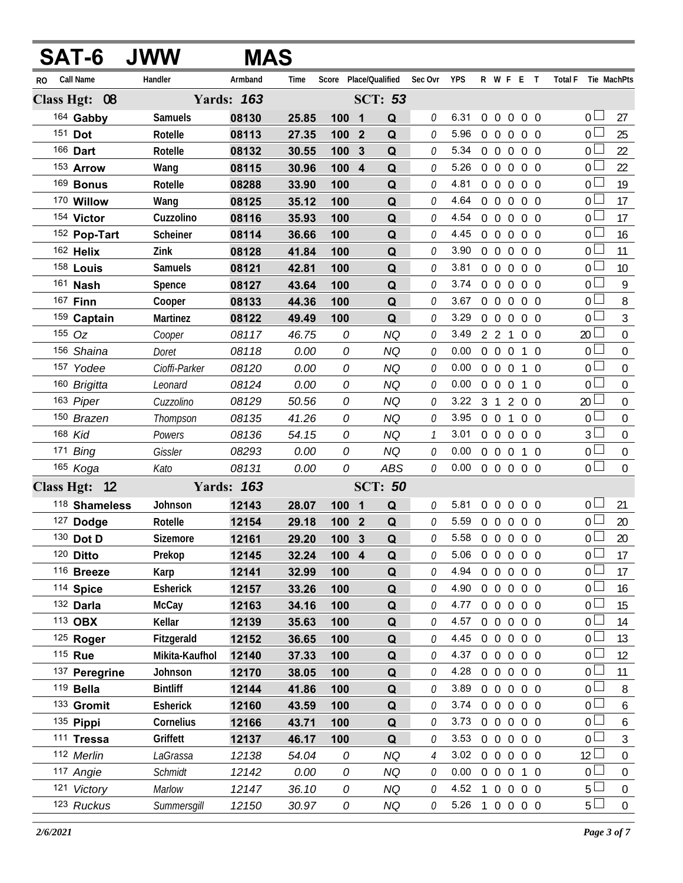|     | <b>SAT-6</b>     | <b>JWW</b>      | MAS               |       |                       |                |             |               |                |                  |                   |                  |                   |            |                               |                  |
|-----|------------------|-----------------|-------------------|-------|-----------------------|----------------|-------------|---------------|----------------|------------------|-------------------|------------------|-------------------|------------|-------------------------------|------------------|
| RO. | <b>Call Name</b> | Handler         | Armband           | Time  | Score Place/Qualified |                |             | Sec Ovr       | <b>YPS</b>     |                  |                   |                  | R W F E T         |            | <b>Total F</b><br>Tie MachPts |                  |
|     | Class Hgt: 08    |                 | <b>Yards: 163</b> |       |                       | <b>SCT: 53</b> |             |               |                |                  |                   |                  |                   |            |                               |                  |
|     | 164 Gabby        | Samuels         | 08130             | 25.85 | 100                   | $\blacksquare$ | Q           | 0             | 6.31           |                  | $0\quad 0\quad 0$ |                  | $0\quad 0$        |            | 0 <sup>1</sup>                | 27               |
|     | 151 Dot          | Rotelle         | 08113             | 27.35 | 100 2                 |                | Q           | 0             | 5.96           | $\overline{0}$   | $\overline{0}$    | $\boldsymbol{0}$ | $0\quad 0$        |            | 0 <sup>L</sup>                | 25               |
|     | 166 Dart         | Rotelle         | 08132             | 30.55 | 100                   | $\mathbf{3}$   | Q           | 0             | 5.34           |                  | $0\quad 0$        | $\overline{0}$   |                   | $0\quad 0$ | 0 <sup>1</sup>                | 22               |
|     | 153 Arrow        | Wang            | 08115             | 30.96 | 100 4                 |                | Q           | 0             | 5.26           | $\overline{0}$   |                   | $0\quad 0$       | $0\quad 0$        |            | 0 <sub>0</sub>                | 22               |
|     | 169 Bonus        | Rotelle         | 08288             | 33.90 | 100                   |                | Q           | 0             | 4.81           |                  | $0\quad 0$        | $\overline{0}$   |                   | $0\quad 0$ | 0 <sub>l</sub>                | 19               |
|     | 170 Willow       | Wang            | 08125             | 35.12 | 100                   |                | Q           | 0             | 4.64           | $\overline{0}$   | $\overline{0}$    | $\overline{0}$   | $0\quad 0$        |            | 0 <sub>0</sub>                | 17               |
|     | 154 Victor       | Cuzzolino       | 08116             | 35.93 | 100                   |                | Q           | 0             | 4.54           |                  | $0\quad 0\quad 0$ |                  |                   | $0\quad 0$ | 0 <sup>1</sup>                | 17               |
|     | 152 Pop-Tart     | Scheiner        | 08114             | 36.66 | 100                   |                | Q           | 0             | 4.45           |                  | $0\quad 0\quad 0$ |                  | $0\quad 0$        |            | 0 <sub>0</sub>                | 16               |
|     | 162 Helix        | Zink            | 08128             | 41.84 | 100                   |                | Q           | 0             | 3.90           | $\overline{0}$   | $\overline{0}$    | $\overline{0}$   |                   | $0\quad 0$ | $\overline{0}$                | 11               |
|     | 158 Louis        | <b>Samuels</b>  | 08121             | 42.81 | 100                   |                | Q           | 0             | 3.81           | $\overline{0}$   | $\overline{0}$    | $\overline{0}$   | $0\quad 0$        |            | 0 <sub>l</sub>                | 10               |
|     | 161 <b>Nash</b>  | Spence          | 08127             | 43.64 | 100                   |                | Q           | 0             | 3.74           |                  | $0\quad 0$        | $\overline{0}$   |                   | $0\quad 0$ | 0 <sup>1</sup>                | 9                |
|     | 167 <b>Finn</b>  | Cooper          | 08133             | 44.36 | 100                   |                | Q           | 0             | 3.67           | $\boldsymbol{0}$ | $\overline{0}$    | $\overline{0}$   | 0 <sub>0</sub>    |            | 0 <sub>0</sub>                | 8                |
|     | 159 Captain      | Martinez        | 08122             | 49.49 | 100                   |                | Q           | 0             | 3.29           |                  | $0\quad 0$        |                  | $0\quad 0\quad 0$ |            | 0 <sub>l</sub>                | $\mathfrak{Z}$   |
|     | 155 Oz           | Cooper          | 08117             | 46.75 | 0                     |                | <b>NQ</b>   | 0             | 3.49           |                  | 2 <sub>2</sub>    | $\mathbf{1}$     | $0\quad 0$        |            | 20 <sub>2</sub>               | $\mathbf 0$      |
|     | 156 Shaina       | Doret           | 08118             | 0.00  | 0                     |                | <b>NQ</b>   | 0             | 0.00           |                  | $0\quad 0\quad 0$ |                  |                   | 1 0        | 0 <sub>0</sub>                | $\boldsymbol{0}$ |
|     | 157 Yodee        | Cioffi-Parker   | 08120             | 0.00  | 0                     |                | <b>NQ</b>   | 0             | 0.00           | $\overline{0}$   |                   |                  | $0 \t0 \t1 \t0$   |            | 0 <sub>0</sub>                | $\mathbf 0$      |
|     | 160 Brigitta     | Leonard         | 08124             | 0.00  | 0                     |                | <b>NQ</b>   | 0             | 0.00           |                  | $0\quad 0\quad 0$ |                  |                   | $1\quad0$  | 0 <sub>0</sub>                | $\mathbf 0$      |
|     | 163 Piper        | Cuzzolino       | 08129             | 50.56 | 0                     |                | <b>NQ</b>   | 0             | 3.22           | 3 1              |                   | 2                | $0\quad 0$        |            | 20 <sup>2</sup>               | $\boldsymbol{0}$ |
|     | 150 Brazen       | Thompson        | 08135             | 41.26 | 0                     |                | <b>NQ</b>   | 0             | 3.95           |                  | $0\quad 0$        | $\mathbf{1}$     |                   | $0\quad 0$ | $\overline{0}$                | $\boldsymbol{0}$ |
|     | 168 Kid          | Powers          | 08136             | 54.15 | 0                     |                | <b>NQ</b>   | $\mathcal{I}$ | 3.01           |                  |                   |                  | 0 0 0 0 0         |            | 3 <sup>L</sup>                | $\boldsymbol{0}$ |
|     | 171 Bing         | Gissler         | 08293             | 0.00  | 0                     |                | <b>NQ</b>   | 0             | 0.00           |                  | $0\quad 0\quad 0$ |                  |                   | $1\quad0$  | 0 <sub>0</sub>                | $\boldsymbol{0}$ |
|     | 165 Koga         | Kato            | 08131             | 0.00  | 0                     |                | <b>ABS</b>  | 0             | 0.00           | 0 0 0 0 0        |                   |                  |                   |            | 0 <sub>0</sub>                | $\mathbf 0$      |
|     | Class Hgt: 12    |                 | <b>Yards: 163</b> |       |                       | <b>SCT: 50</b> |             |               |                |                  |                   |                  |                   |            |                               |                  |
|     | 118 Shameless    | Johnson         | 12143             | 28.07 | 100                   | 1              | Q           | 0             | 5.81           |                  |                   |                  | 00000             |            | 0 L                           | 21               |
|     | 127 Dodge        | Rotelle         | 12154             | 29.18 | 100 2                 |                | $\mathbf Q$ | 0             | 5.59           |                  |                   |                  | 0 0 0 0 0         |            | 0 <sup>L</sup>                | 20               |
|     | 130 Dot D        | Sizemore        | 12161             | 29.20 | 100 3                 |                | Q           | 0             | 5.58 0 0 0 0 0 |                  |                   |                  |                   |            | $0\,$                         | 20               |
|     | 120 Ditto        | Prekop          | 12145             | 32.24 | 100 4                 |                | Q           | 0             | 5.06           | 00000            |                   |                  |                   |            | 0 L                           | 17               |
|     | 116 Breeze       | Karp            | 12141             | 32.99 | 100                   |                | Q           | 0             | 4.94           |                  | $0\quad 0\quad 0$ |                  |                   | $0\quad 0$ | 0 l                           | 17               |
|     | 114 Spice        | Esherick        | 12157             | 33.26 | 100                   |                | Q           | 0             | 4.90           |                  |                   |                  | 00000             |            | 0 <sup>L</sup>                | 16               |
|     | 132 Darla        | McCay           | 12163             | 34.16 | 100                   |                | Q           | 0             | 4.77           |                  |                   |                  | 0 0 0 0 0         |            | 0 l                           | 15               |
|     | 113 OBX          | Kellar          | 12139             | 35.63 | 100                   |                | Q           | 0             | 4.57           |                  |                   |                  | 0 0 0 0 0         |            | 0 <sup>L</sup>                | 14               |
|     | 125 Roger        | Fitzgerald      | 12152             | 36.65 | 100                   |                | Q           | 0             | 4.45           |                  |                   |                  | 0 0 0 0 0         |            | 0 L                           | 13               |
|     | 115 Rue          | Mikita-Kaufhol  | 12140             | 37.33 | 100                   |                | Q           | 0             | 4.37           | 0 0 0 0 0        |                   |                  |                   |            | 0 <sub>0</sub>                | 12               |
|     | 137 Peregrine    | Johnson         | 12170             | 38.05 | 100                   |                | Q           | 0             | 4.28           |                  |                   |                  | 00000             |            | 0 <sub>l</sub>                | 11               |
|     | $119$ Bella      | <b>Bintliff</b> | 12144             | 41.86 | 100                   |                | Q           | 0             | 3.89           | 0 0 0 0 0        |                   |                  |                   |            | 0 <sub>0</sub>                | 8                |
|     | 133 Gromit       | <b>Esherick</b> | 12160             | 43.59 | 100                   |                | Q           | 0             | 3.74 0 0 0 0 0 |                  |                   |                  |                   |            | 0 L                           | 6                |
|     | 135 Pippi        | Cornelius       | 12166             | 43.71 | 100                   |                | Q           | 0             | 3.73 0 0 0 0 0 |                  |                   |                  |                   |            | 0 <sup>L</sup>                | $\boldsymbol{6}$ |
|     | 111 Tressa       | Griffett        | 12137             | 46.17 | 100                   |                | Q           | 0             | 3.53           | $\overline{0}$   | $\overline{0}$    |                  | $0\quad 0\quad 0$ |            | 0 L                           | 3                |
|     | 112 Merlin       | LaGrassa        | 12138             | 54.04 | 0                     |                | <b>NQ</b>   | 4             | 3.02 0 0 0 0 0 |                  |                   |                  |                   |            | 12 <sup>°</sup>               | $\boldsymbol{0}$ |
|     | 117 Angie        | Schmidt         | 12142             | 0.00  | 0                     |                | <b>NQ</b>   | 0             | 0.00           | $\overline{0}$   |                   | $0\quad 0$       |                   | 1 0        | 0 L                           | $\boldsymbol{0}$ |
|     | 121 Victory      | Marlow          | 12147             | 36.10 | 0                     |                | <b>NQ</b>   | 0             | $4.52 \quad 1$ |                  |                   |                  | 0 0 0 0           |            | 5 <sup>1</sup>                | $\mathbf 0$      |
|     | 123 Ruckus       | Summersgill     | 12150             | 30.97 | 0                     |                | NQ          | 0             | $5.26$ 1       |                  |                   |                  | 0 0 0 0           |            | 5 <sub>1</sub>                | $\mathbf 0$      |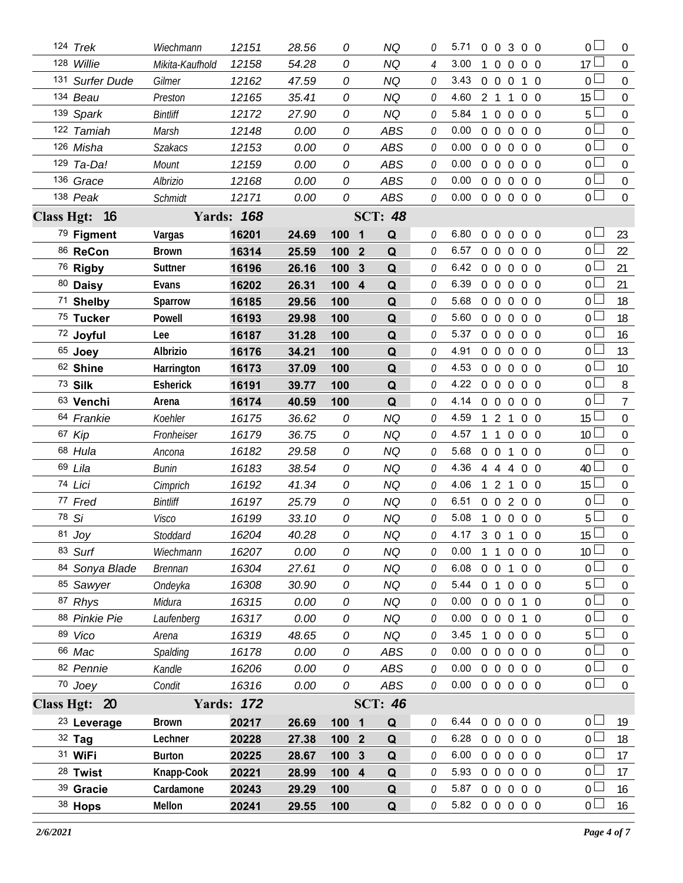| 124 Trek               | Wiechmann       | 12151             | 28.56 | 0                | <b>NQ</b>         | 0 | 5.71                       |                | $0 \quad 0 \quad 3$              | $0\quad 0$ | 0 <sub>0</sub>  | $\overline{0}$   |
|------------------------|-----------------|-------------------|-------|------------------|-------------------|---|----------------------------|----------------|----------------------------------|------------|-----------------|------------------|
| 128 Willie             | Mikita-Kaufhold | 12158             | 54.28 | 0                | <b>NQ</b>         | 4 | 3.00                       | $\mathbf{1}$   | $0\quad 0$                       | $0\quad 0$ | 17              | $\overline{0}$   |
| 131 Surfer Dude        | Gilmer          | 12162             | 47.59 | 0                | <b>NQ</b>         | 0 | 3.43                       |                | $0\quad 0\quad 0$                | 1 0        | $\overline{0}$  | $\overline{0}$   |
| 134 Beau               | Preston         | 12165             | 35.41 | 0                | <b>NQ</b>         | 0 | 4.60                       | 2 1            | $\mathbf{1}$                     | $0\quad 0$ | 15 <sup>L</sup> | $\overline{0}$   |
| 139 Spark              | <b>Bintliff</b> | 12172             | 27.90 | 0                | <b>NQ</b>         | 0 | 5.84                       | $\mathbf{1}$   | $\overline{0}$<br>$\mathbf 0$    | $0\quad 0$ | 5 <sup>1</sup>  | $\mathbf 0$      |
| 122 Tamiah             | Marsh           | 12148             | 0.00  | 0                | ABS               | 0 | 0.00                       | $\overline{0}$ |                                  | 0 0 0 0    | $0-$            | $\mathbf 0$      |
| 126 Misha              | <b>Szakacs</b>  | 12153             | 0.00  | 0                | ABS               | 0 | 0.00                       | $0\quad 0$     | $\overline{0}$                   | $0\quad 0$ | 0 <sub>0</sub>  | $\mathbf 0$      |
| 129 Ta-Da!             | Mount           | 12159             | 0.00  | 0                | ABS               | 0 | 0.00                       | $\overline{0}$ | $\overline{0}$<br>$\overline{0}$ | $0\quad 0$ | $0-$            | $\mathbf 0$      |
| 136 Grace              | Albrizio        | 12168             | 0.00  | 0                | ABS               | 0 | 0.00                       |                | $0\quad 0\quad 0$                | $0\quad 0$ | 0 <sub>0</sub>  | $\mathbf 0$      |
| 138 Peak               | <b>Schmidt</b>  | 12171             | 0.00  | 0                | ABS               | 0 | 0.00                       |                |                                  | 0 0 0 0 0  | 0 <sub>1</sub>  | $\mathbf 0$      |
| Class Hgt: 16          |                 | <b>Yards: 168</b> |       |                  | <b>SCT: 48</b>    |   |                            |                |                                  |            |                 |                  |
| 79 Figment             | Vargas          | 16201             | 24.69 | 100              | Q<br>1            | 0 | 6.80                       | $\overline{0}$ | $0\quad 0$                       | $0\quad 0$ | 0 l             | 23               |
| 86 ReCon               | <b>Brown</b>    | 16314             | 25.59 | 100 <sub>2</sub> | Q                 | 0 | 6.57                       | $\overline{0}$ | $0\quad 0$                       | $0\quad 0$ | 0 <sup>L</sup>  | 22               |
| <sup>76</sup> Rigby    | Suttner         | 16196             | 26.16 | 100              | $\mathbf{3}$<br>Q | 0 | 6.42                       |                | $0\quad 0\quad 0$                | $0\quad 0$ | $\mathbf 0$     | 21               |
| 80 Daisy               | Evans           | 16202             | 26.31 | 100 4            | Q                 | 0 | 6.39                       |                | $0\quad 0\quad 0$                | $0\quad 0$ | 0 <sup>L</sup>  | 21               |
| 71 Shelby              | Sparrow         | 16185             | 29.56 | 100              | Q                 | 0 | 5.68                       | $0\quad 0$     | $\overline{0}$                   | $0\quad 0$ | $\overline{0}$  | 18               |
| 75 Tucker              | Powell          | 16193             | 29.98 | 100              | Q                 | 0 | 5.60                       |                |                                  | 00000      | $0-$            | 18               |
| 72 Joyful              | Lee             | 16187             | 31.28 | 100              | Q                 | 0 | 5.37                       |                |                                  | 00000      | 0 L             | 16               |
| 65 Joey                | Albrizio        | 16176             | 34.21 | 100              | Q                 | 0 | 4.91                       |                |                                  | 00000      | 0 <sub>0</sub>  | 13               |
| 62 Shine               | Harrington      | 16173             | 37.09 | 100              | Q                 | 0 | 4.53                       |                |                                  | 00000      | $0-$            | 10 <sup>°</sup>  |
| 73 Silk                | Esherick        | 16191             | 39.77 | 100              | Q                 | 0 | 4.22 0 0 0 0 0             |                |                                  |            | 0 <sub>0</sub>  | 8                |
| 63 Venchi              | Arena           | 16174             | 40.59 | 100              | Q                 | 0 | 4.14 0 0 0 0 0             |                |                                  |            | 0 <sub>0</sub>  | $\overline{7}$   |
| 64 Frankie             | Koehler         | 16175             | 36.62 | 0                | <b>NQ</b>         | 0 | 4.59                       |                | $\mathbf{2}$<br>$\mathbf{1}$     | $0\quad 0$ | 15 <sup>1</sup> | $\mathbf 0$      |
| 67 Kip                 | Fronheiser      | 16179             | 36.75 | 0                | <b>NQ</b>         | 0 | 4.57                       | $\overline{1}$ | $\overline{1}$<br>$\overline{0}$ | $0\quad 0$ | 10 <sup>1</sup> | $\boldsymbol{0}$ |
| 68 Hula                | Ancona          | 16182             | 29.58 | 0                | <b>NQ</b>         | 0 | 5.68                       | $0\quad 0$     | $\overline{1}$                   | $0\quad 0$ | 0 <sub>0</sub>  | $\mathbf 0$      |
| 69 Lila                | Bunin           | 16183             | 38.54 | 0                | <b>NQ</b>         | 0 | 4.36                       | 4 4            | 4                                | $0\quad 0$ | 40 <sup>1</sup> | $\mathbf 0$      |
| 74 Lici                | Cimprich        | 16192             | 41.34 | 0                | <b>NQ</b>         | 0 | 4.06                       |                | $\mathbf{1}$<br>2                | $0\quad 0$ | $15 \perp$      | $\overline{0}$   |
| 77 Fred                | <b>Bintliff</b> | 16197             | 25.79 | 0                | <b>NQ</b>         | 0 | 6.51                       |                |                                  | 0 0 2 0 0  | 0 <sub>0</sub>  | $\overline{0}$   |
| 78 Si                  | Visco           | 16199             | 33.10 | 0                | <b>NQ</b>         | 0 | 5.08                       | $\overline{1}$ |                                  | 0 0 0 0    | 5 <sub>1</sub>  | $\boldsymbol{0}$ |
| 81 Joy                 | Stoddard        | 16204             | 40.28 | 0                | NQ                | 0 | 4.17 3 0 1 0 0             |                |                                  |            | 15 <sup>1</sup> | $\overline{0}$   |
| 83 Surf                | Wiechmann       | 16207             | 0.00  | 0                | NQ                | 0 | 0.00                       |                |                                  | 1 1 0 0 0  | 10 <sup>L</sup> | $\overline{0}$   |
| 84 Sonya Blade         | <b>Brennan</b>  | 16304             | 27.61 | 0                | <b>NQ</b>         | 0 | 6.08                       | $0\quad 0$     | $\mathbf{1}$                     | $0\quad 0$ | 0 <sup>1</sup>  | $\overline{0}$   |
| 85 Sawyer              | Ondeyka         | 16308             | 30.90 | 0                | <b>NQ</b>         | 0 | 5.44 0 1 0 0 0             |                |                                  |            | 5 <sub>1</sub>  | $\mathbf 0$      |
| 87 Rhys                | Midura          | 16315             | 0.00  | 0                | <b>NQ</b>         | 0 | 0.00                       |                |                                  | 0 0 0 1 0  | 0 <sub>l</sub>  | $\boldsymbol{0}$ |
| 88 Pinkie Pie          | Laufenberg      | 16317             | 0.00  | 0                | <b>NQ</b>         | 0 | 0.00                       |                |                                  | 0 0 0 1 0  | 0 <sub>0</sub>  | $\mathbf 0$      |
| 89 Vico                | Arena           | 16319             | 48.65 | 0                | <b>NQ</b>         | 0 | 3.45                       |                |                                  | 10000      | 5 <sup>L</sup>  | $\boldsymbol{0}$ |
| 66 Mac                 | Spalding        | 16178             | 0.00  | 0                | ABS               | 0 | 0.00                       |                |                                  | 0 0 0 0 0  | 0 <sub>0</sub>  | $\overline{0}$   |
| 82 Pennie              | Kandle          | 16206             | 0.00  | 0                | ABS               | 0 | 0.00                       |                |                                  | 00000      | 0 <sub>0</sub>  | $\boldsymbol{0}$ |
| 70 Joey                | Condit          | 16316             | 0.00  | 0                | ABS               | 0 | $0.00 \t0 \t0 \t0 \t0 \t0$ |                |                                  |            | $\overline{0}$  | $\overline{0}$   |
| Class Hgt: 20          |                 | <b>Yards: 172</b> |       |                  | <b>SCT: 46</b>    |   |                            |                |                                  |            |                 |                  |
| <sup>23</sup> Leverage | <b>Brown</b>    | 20217             | 26.69 | 100 1            | Q                 | 0 | 6.44 0 0 0 0 0             |                |                                  |            | 0 <sub>0</sub>  | 19               |
| 32 Tag                 | Lechner         | 20228             | 27.38 | 100 <sub>2</sub> | Q                 | 0 | 6.28                       |                |                                  | 0 0 0 0 0  | 0 <sup>2</sup>  | 18               |
| 31 WiFi                | <b>Burton</b>   | 20225             | 28.67 | 100 3            | Q                 | 0 | 6.00                       |                |                                  | 00000      | 0 <sup>1</sup>  | 17               |
| 28 Twist               | Knapp-Cook      | 20221             | 28.99 | 100 4            | Q                 | 0 | 5.93 0 0 0 0 0             |                |                                  |            | 0 <sub>l</sub>  | 17               |
| 39 Gracie              | Cardamone       | 20243             | 29.29 | 100              | Q                 | 0 | 5.87 0 0 0 0 0             |                |                                  |            | 0 L             | 16               |
| 38 Hops                | Mellon          | 20241             | 29.55 | 100              | $\mathbf Q$       | 0 | 5.82 0 0 0 0 0             |                |                                  |            | 0 <sup>1</sup>  | 16               |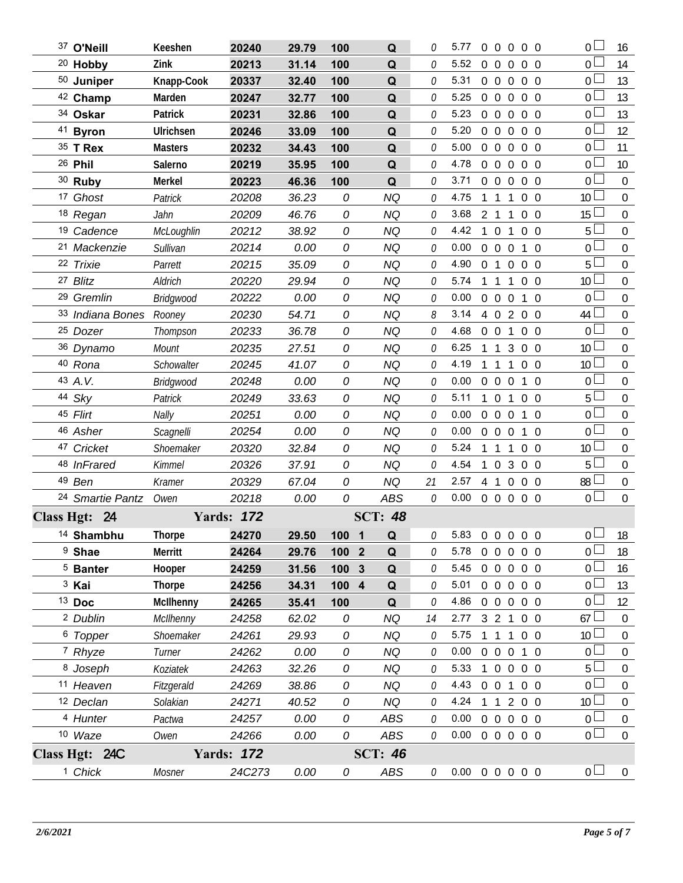| 37 O'Neill              | Keeshen           | 20240             | 29.79 | 100     | Q              | 0  | 5.77                       |                | $0\quad 0\quad 0$ |                | $0\quad 0$ | 0 l             | 16               |
|-------------------------|-------------------|-------------------|-------|---------|----------------|----|----------------------------|----------------|-------------------|----------------|------------|-----------------|------------------|
| <sup>20</sup> Hobby     | Zink              | 20213             | 31.14 | 100     | Q              | 0  | 5.52                       | $\overline{0}$ | $\overline{0}$    | $\overline{0}$ | $0\quad 0$ | 0 <sup>1</sup>  | 14               |
| 50 Juniper              | Knapp-Cook        | 20337             | 32.40 | 100     | Q              | 0  | 5.31                       |                | $0\quad 0\quad 0$ |                | $0\quad 0$ | $\overline{0}$  | 13               |
| 42 Champ                | Marden            | 20247             | 32.77 | 100     | Q              | 0  | 5.25                       |                | $0\quad 0\quad 0$ |                | $0\quad 0$ | 0 <sub>0</sub>  | 13               |
| 34 Oskar                | Patrick           | 20231             | 32.86 | 100     | Q              | 0  | 5.23                       |                | $0\quad 0$        | $\overline{0}$ | $0\quad 0$ | 0 L             | 13               |
| 41 Byron                | Ulrichsen         | 20246             | 33.09 | 100     | Q              | 0  | 5.20                       | $\overline{0}$ |                   |                | 0 0 0 0    | 0 <sub>0</sub>  | 12               |
| 35 T Rex                | <b>Masters</b>    | 20232             | 34.43 | 100     | Q              | 0  | 5.00                       |                | $0\quad 0$        | $\overline{0}$ | $0\quad 0$ | 0 <sub>l</sub>  | 11               |
| 26 Phil                 | Salerno           | 20219             | 35.95 | 100     | Q              | 0  | 4.78                       | $\overline{0}$ | $0\quad 0$        |                | $0\quad 0$ | 0 <sub>0</sub>  | 10               |
| 30 Ruby                 | Merkel            | 20223             | 46.36 | 100     | Q              | 0  | 3.71                       |                | $0\quad 0\quad 0$ |                | $0\quad 0$ | 0 <sub>0</sub>  | $\mathbf 0$      |
| 17 Ghost                | Patrick           | 20208             | 36.23 | 0       | <b>NQ</b>      | 0  | 4.75                       | 1              | $\overline{1}$    | $\mathbf{1}$   | $0\quad 0$ | 10 <sup>2</sup> | $\mathbf 0$      |
| 18 Regan                | Jahn              | 20209             | 46.76 | 0       | <b>NQ</b>      | 0  | 3.68                       |                | $2 \t1 \t1$       |                | $0\quad 0$ | 15              | $\mathbf 0$      |
| <sup>19</sup> Cadence   | <b>McLoughlin</b> | 20212             | 38.92 | 0       | <b>NQ</b>      | 0  | 4.42                       | $\overline{1}$ | $\overline{0}$    | $\mathbf{1}$   | $0\quad 0$ | 5 <sub>1</sub>  | $\mathbf 0$      |
| 21 Mackenzie            | Sullivan          | 20214             | 0.00  | 0       | <b>NQ</b>      | 0  | 0.00                       |                | $0\quad 0\quad 0$ |                | $1\quad0$  | 0 <sub>l</sub>  | $\mathbf 0$      |
| 22 Trixie               | Parrett           | 20215             | 35.09 | 0       | <b>NQ</b>      | 0  | 4.90                       |                | $0$ 1 $0$         |                | $0\quad 0$ | 5 <sub>1</sub>  | $\mathbf 0$      |
| 27 Blitz                | Aldrich           | 20220             | 29.94 | 0       | <b>NQ</b>      | 0  | 5.74                       |                | $1\quad1$         | $\mathbf{1}$   | $0\quad 0$ | 10 <sup>°</sup> | $\mathbf 0$      |
| <sup>29</sup> Gremlin   | <b>Bridgwood</b>  | 20222             | 0.00  | 0       | <b>NQ</b>      | 0  | 0.00                       |                | $0\quad 0\quad 0$ |                | $1\quad$ 0 | 0 <sub>0</sub>  | $\mathbf 0$      |
| 33 Indiana Bones Rooney |                   | 20230             | 54.71 | 0       | <b>NQ</b>      | 8  | 3.14                       |                |                   |                | 4 0 2 0 0  | 44              | $\mathbf 0$      |
| <sup>25</sup> Dozer     | Thompson          | 20233             | 36.78 | 0       | <b>NQ</b>      | 0  | 4.68                       |                | $0 \t0 \t1$       |                | $0\quad 0$ | 0 <sub>0</sub>  | $\mathbf 0$      |
| 36 Dynamo               | Mount             | 20235             | 27.51 | 0       | <b>NQ</b>      | 0  | 6.25                       |                | 1 1               | 3              | $0\quad 0$ | 10 <sup>1</sup> | $\mathbf 0$      |
| 40 Rona                 | Schowalter        | 20245             | 41.07 | 0       | <b>NQ</b>      | 0  | 4.19                       |                | $\overline{1}$    | $\mathbf{1}$   | $0\quad 0$ | 10 <sup>L</sup> | $\mathbf 0$      |
| 43 A.V.                 | <b>Bridgwood</b>  | 20248             | 0.00  | 0       | <b>NQ</b>      | 0  | 0.00                       |                | $0\quad 0\quad 0$ |                | $1\quad0$  | 0 <sub>0</sub>  | $\mathbf 0$      |
| 44 Sky                  | Patrick           | 20249             | 33.63 | 0       | <b>NQ</b>      | 0  | 5.11                       | $\mathbf{1}$   | $\overline{0}$    | $\mathbf{1}$   | $0\quad 0$ | 5 <sub>1</sub>  | $\mathbf 0$      |
| 45 Flirt                | Nally             | 20251             | 0.00  | 0       | <b>NQ</b>      | 0  | 0.00                       |                | $0\quad 0\quad 0$ |                | $1\quad0$  | 0 <sub>0</sub>  | $0\,$            |
| 46 Asher                | Scagnelli         | 20254             | 0.00  | 0       | <b>NQ</b>      | 0  | 0.00                       |                | $0\quad 0\quad 0$ |                | $1\quad0$  | 0 <sup>1</sup>  | $\mathbf 0$      |
| 47 Cricket              | Shoemaker         | 20320             | 32.84 | 0       | <b>NQ</b>      | 0  | 5.24                       |                | 1 1               | $\mathbf{1}$   | $0\quad 0$ | 10 <sup>2</sup> | $\boldsymbol{0}$ |
| 48 InFrared             | <b>Kimmel</b>     | 20326             | 37.91 | 0       | <b>NQ</b>      | 0  | 4.54                       | 1              |                   |                | 0300       | 5 <sub>1</sub>  | $\mathbf 0$      |
| 49 Ben                  | Kramer            | 20329             | 67.04 | 0       | <b>NQ</b>      | 21 | 2.57                       |                | 4 1 0             |                | $0\quad 0$ | 88              | $0\,$            |
| 24 Smartie Pantz Owen   |                   | 20218             | 0.00  | 0       | ABS            | 0  | $0.00 \t0 \t0 \t0 \t0 \t0$ |                |                   |                |            | 0 <sup>1</sup>  | $\mathbf 0$      |
| Class Hgt: 24           |                   | <b>Yards: 172</b> |       |         | <b>SCT: 48</b> |    |                            |                |                   |                |            |                 |                  |
| <sup>14</sup> Shambhu   | <b>Thorpe</b>     | 24270             | 29.50 | $100$ 1 | $\Omega$       | 0  | 5.83 0 0 0 0 0             |                |                   |                |            | 0 <sup>1</sup>  | 18               |
| <sup>9</sup> Shae       | Merritt           | 24264             | 29.76 | 100 2   | Q              | O  | 5.78                       |                |                   |                | 0 0 0 0 0  | 0 L             | 18               |
| <sup>5</sup> Banter     | Hooper            | 24259             | 31.56 | 100 3   | Q              | O  | 5.45                       |                |                   |                | 00000      | 0 <sup>1</sup>  | 16               |
| <sup>3</sup> Kai        | <b>Thorpe</b>     | 24256             | 34.31 | 100 4   | Q              | 0  | 5.01                       |                |                   |                | 0 0 0 0 0  | 0 L             | 13               |
| $13$ Doc                | <b>McIlhenny</b>  | 24265             | 35.41 | 100     | Q              | 0  | 4.86                       |                |                   |                | 0 0 0 0 0  | 0 <sup>1</sup>  | 12               |
| <sup>2</sup> Dublin     | McIlhenny         | 24258             | 62.02 | 0       | <b>NQ</b>      | 14 | 2.77                       |                |                   |                | 3 2 1 0 0  | 67              | $\boldsymbol{0}$ |
| <sup>6</sup> Topper     | Shoemaker         | 24261             | 29.93 | 0       | <b>NQ</b>      | 0  | 5.75                       |                | 1 1 1             |                | $0\quad 0$ | 10 <sup>L</sup> | $\boldsymbol{0}$ |
| 7 Rhyze                 | Turner            | 24262             | 0.00  | 0       | <b>NQ</b>      | 0  | 0.00                       |                | $0\quad 0\quad 0$ |                | $1\quad0$  | 0 <sub>0</sub>  | $\boldsymbol{0}$ |
| 8 Joseph                | Koziatek          | 24263             | 32.26 | 0       | <b>NQ</b>      | 0  | 5.33                       |                |                   |                | 0 0 0 0    | 5 <sup>1</sup>  | $\boldsymbol{0}$ |
| 11 Heaven               | Fitzgerald        | 24269             | 38.86 | 0       | <b>NQ</b>      | 0  | 4.43 0 0 1 0 0             |                |                   |                |            | 0 <sub>0</sub>  | $\mathbf 0$      |
| 12 Declan               | Solakian          | 24271             | 40.52 | 0       | <b>NQ</b>      | 0  | 4.24                       |                |                   |                | 1 1 2 0 0  | 10 <sup>L</sup> | $\boldsymbol{0}$ |
| 4 Hunter                | Pactwa            | 24257             | 0.00  | 0       | ABS            | 0  | $0.00 \t0 \t0 \t0 \t0 \t0$ |                |                   |                |            | 0 <sub>0</sub>  | $0\,$            |
| 10 Waze                 | Owen              | 24266             | 0.00  | 0       | ABS            | 0  | $0.00 \t0 \t0 \t0 \t0 \t0$ |                |                   |                |            | 0 <sub>0</sub>  | $\overline{0}$   |
| Class Hgt: 24C          |                   | <b>Yards: 172</b> |       |         | <b>SCT: 46</b> |    |                            |                |                   |                |            |                 |                  |
| <sup>1</sup> Chick      | Mosner            | 24C273            | 0.00  | 0       | ABS            | 0  | $0.00 \t0 \t0 \t0 \t0 \t0$ |                |                   |                |            | 0 <sub>0</sub>  | $\overline{0}$   |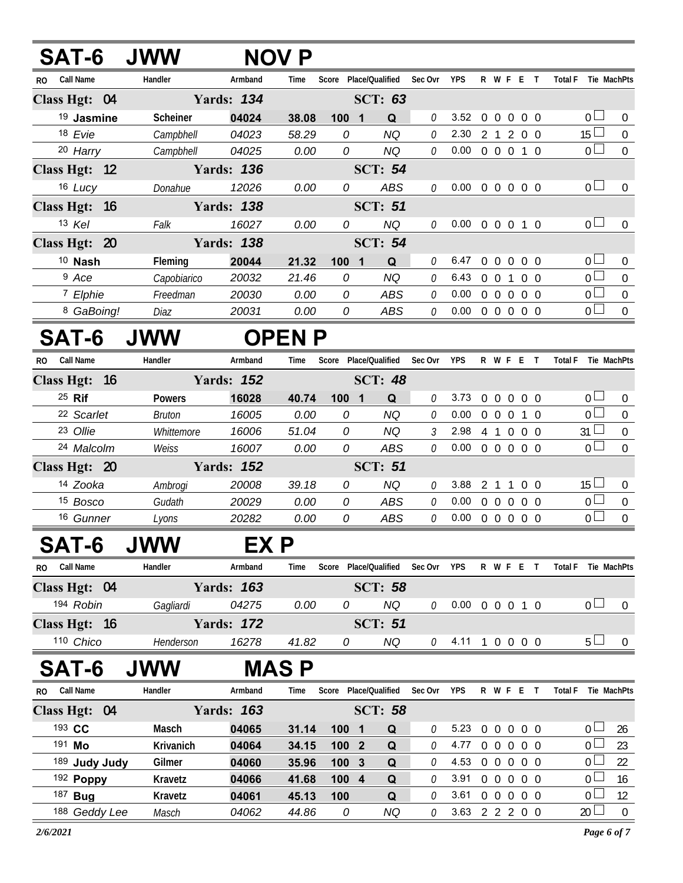| <b>SAT-6 JWW</b>            |             |                   | <b>NOV P</b>  |                       |                 |         |                            |              |                   |                |                |                 |                                    |
|-----------------------------|-------------|-------------------|---------------|-----------------------|-----------------|---------|----------------------------|--------------|-------------------|----------------|----------------|-----------------|------------------------------------|
| Call Name<br>R <sub>0</sub> | Handler     | Armband           | Time          | Score                 | Place/Qualified | Sec Ovr | <b>YPS</b>                 |              |                   | R W F E T      |                | <b>Total F</b>  | Tie MachPts                        |
| Class Hgt: 04               |             | <b>Yards: 134</b> |               |                       | <b>SCT: 63</b>  |         |                            |              |                   |                |                |                 |                                    |
| <sup>19</sup> Jasmine       | Scheiner    | 04024             | 38.08         | $100$ 1               | Q               | 0       | 3.52                       |              |                   | 0 0 0 0 0      |                |                 | 0 <sup>1</sup><br>$\overline{0}$   |
| 18 Evie                     | Campbhell   | 04023             | 58.29         | 0                     | <b>NQ</b>       | 0       | 2.30                       |              | 2 <sub>1</sub>    | $\overline{2}$ | $0\quad 0$     | 15 <sup>1</sup> | 0                                  |
| 20 Harry                    | Campbhell   | 04025             | 0.00          | 0                     | <b>NQ</b>       | 0       | 0.00                       |              |                   | 0 0 0 1 0      |                |                 | 0 <sup>1</sup><br>$\mathbf{0}$     |
| Class Hgt: 12               |             | <b>Yards: 136</b> |               |                       | <b>SCT: 54</b>  |         |                            |              |                   |                |                |                 |                                    |
| 16 Lucy                     | Donahue     | 12026             | 0.00          | 0                     | <b>ABS</b>      | 0       | $0.00 \t0 \t0 \t0 \t0 \t0$ |              |                   |                |                |                 | $0-$<br>$\overline{0}$             |
| Class Hgt: 16               |             | <b>Yards: 138</b> |               |                       | <b>SCT: 51</b>  |         |                            |              |                   |                |                |                 |                                    |
| 13 Kel                      | Falk        | 16027             | 0.00          | 0                     | <b>NQ</b>       | 0       | $0.00 \t0 \t0 \t0 \t1 \t0$ |              |                   |                |                |                 | 0 <sub>0</sub><br>$\boldsymbol{0}$ |
| Class Hgt: 20               |             | <b>Yards: 138</b> |               |                       | <b>SCT: 54</b>  |         |                            |              |                   |                |                |                 |                                    |
| $10$ Nash                   | Fleming     | 20044             | 21.32         | 1001                  | Q               | 0       | 6.47                       |              |                   | 0 0 0 0 0      |                |                 | 0 <sub>0</sub><br>$\mathbf 0$      |
| <sup>9</sup> Ace            | Capobiarico | 20032             | 21.46         | 0                     | <b>NQ</b>       | 0       | 6.43                       |              | $0 \t0 \t1$       |                | $0\quad 0$     |                 | $\overline{0}$<br>$\mathbf 0$      |
| 7 Elphie                    | Freedman    | 20030             | 0.00          | 0                     | ABS             | 0       | 0.00                       |              | $0\quad 0\quad 0$ |                | $0\quad 0$     | 0 l             | 0                                  |
| 8 GaBoing!                  | Diaz        | 20031             | 0.00          | 0                     | ABS             | 0       | 0.00                       |              |                   | 00000          |                |                 | 0 <sup>2</sup><br>$\mathbf{0}$     |
| SAT-6                       | <b>JWW</b>  |                   | <b>OPEN P</b> |                       |                 |         |                            |              |                   |                |                |                 |                                    |
| Call Name<br>RO.            | Handler     | Armband           | Time          | Score                 | Place/Qualified | Sec Ovr | <b>YPS</b>                 |              |                   | R W F E T      |                | <b>Total F</b>  | Tie MachPts                        |
| Class Hgt: 16               |             | <b>Yards: 152</b> |               |                       | <b>SCT: 48</b>  |         |                            |              |                   |                |                |                 |                                    |
| 25 Rif                      | Powers      | 16028             | 40.74         | $100$ 1               | Q               | 0       | 3.73                       | $\mathbf{0}$ |                   | $0\ 0\ 0\ 0$   |                |                 | 0 <sup>1</sup><br>$\overline{0}$   |
| 22 Scarlet                  | Bruton      | 16005             | 0.00          | 0                     | <b>NQ</b>       | 0       | 0.00                       |              | $0\quad 0\quad 0$ |                | 1 0            | 0 <sup>1</sup>  | 0                                  |
| 23 Ollie                    | Whittemore  | 16006             | 51.04         | 0                     | <b>NQ</b>       | 3       | 2.98                       |              |                   | 4 1 0 0 0      |                | $31 \perp$      | $\boldsymbol{0}$                   |
| 24 Malcolm                  | Weiss       | 16007             | 0.00          | 0                     | ABS             | 0       | 0.00                       |              |                   | 0 0 0 0 0      |                |                 | 0 <sup>1</sup><br>$\mathbf 0$      |
| Class Hgt: 20               |             | <b>Yards: 152</b> |               |                       | <b>SCT: 51</b>  |         |                            |              |                   |                |                |                 |                                    |
| 14 Zooka                    | Ambrogi     | 20008             | 39.18         | 0                     | NQ              | 0       | 3.88                       |              | 2 <sub>1</sub>    | 1              | 0 <sub>0</sub> | $15 \perp$      | $\mathbf 0$                        |
| 15 Bosco                    | Gudath      | 20029             | 0.00          | 0                     | ABS             | 0       | 0.00                       |              | $0\quad 0\quad 0$ |                | $0\quad 0$     |                 | 0 <sub>0</sub><br>$\bf{0}$         |
| 16 Gunner                   | Lyons       | 20282             | 0.00          | 0                     | ABS             | 0       | 0.00                       |              |                   | 0 0 0 0 0      |                |                 | 0 <sup>1</sup><br>$\boldsymbol{0}$ |
| SAT-6                       | <b>JWW</b>  | EX P              |               |                       |                 |         |                            |              |                   |                |                |                 |                                    |
| <b>Call Name</b><br>RO.     | Handler     | Armband           | Time          | Score                 | Place/Qualified | Sec Ovr | <b>YPS</b>                 |              |                   | R W F E T      |                | <b>Total F</b>  | Tie MachPts                        |
| Class Hgt: 04               |             | <b>Yards: 163</b> |               |                       | <b>SCT: 58</b>  |         |                            |              |                   |                |                |                 |                                    |
| 194 Robin                   | Gagliardi   | 04275             | 0.00          | 0                     | NQ              | 0       | $0.00 \t0 \t0 \t0 \t1 \t0$ |              |                   |                |                |                 | 0 <sup>1</sup><br>$\overline{0}$   |
| Class Hgt: 16               |             | <b>Yards: 172</b> |               |                       | <b>SCT: 51</b>  |         |                            |              |                   |                |                |                 |                                    |
| 110 Chico                   | Henderson   | 16278             | 41.82         | 0                     | <b>NQ</b>       | 0       | 4.11 1 0 0 0 0             |              |                   |                |                |                 | $5 -$<br>$\bf{0}$                  |
| SAT-6                       | <b>JWW</b>  |                   | <b>MAS P</b>  |                       |                 |         |                            |              |                   |                |                |                 |                                    |
| <b>Call Name</b><br>RO.     | Handler     | Armband           | Time          | Score Place/Qualified |                 | Sec Ovr | <b>YPS</b>                 |              |                   | R W F E T      |                | <b>Total F</b>  | Tie MachPts                        |
| Class Hgt: 04               |             | <b>Yards: 163</b> |               |                       | <b>SCT: 58</b>  |         |                            |              |                   |                |                |                 |                                    |
| 193 CC                      | Masch       | 04065             | 31.14         | 100 1                 | Q               | 0       | 5.23                       |              |                   | 0 0 0 0 0      |                |                 | 0 <sup>2</sup><br>26               |
| 191 Mo                      | Krivanich   | 04064             | 34.15         | 100 2                 | Q               | 0       | 4.77                       |              |                   | 0 0 0 0 0      |                |                 | 0 <sup>2</sup><br>23               |
| 189 Judy Judy               | Gilmer      | 04060             | 35.96         | 100 3                 | Q               | 0       | 4.53                       |              |                   | 0 0 0 0 0      |                | 0 L             | 22                                 |
| 192 Poppy                   | Kravetz     | 04066             | 41.68         | 100 4                 | Q               | 0       | 3.91                       |              |                   | 0 0 0 0 0      |                |                 | 0 <sub>0</sub><br>16               |
| 187 <b>Bug</b>              | Kravetz     | 04061             | 45.13         | 100                   | Q               | 0       | 3.61                       |              |                   | 0 0 0 0 0      |                | 0 <sup>1</sup>  | 12                                 |
| 188 Geddy Lee               | Masch       | 04062             | 44.86         | 0                     | <b>NQ</b>       | 0       | 3.63 2 2 2 0 0             |              |                   |                |                | 20 <sup>2</sup> | $\overline{0}$                     |